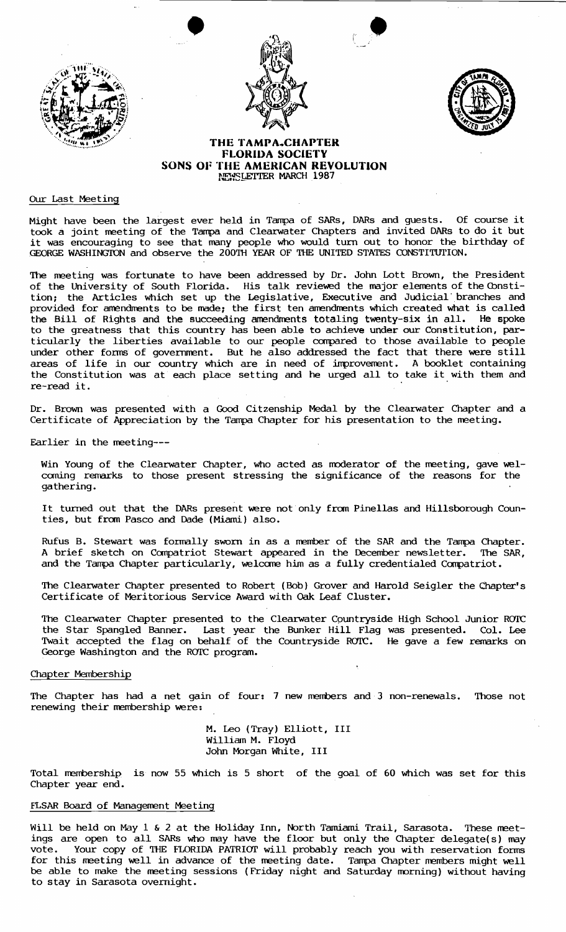





# **THE TAMPA, CHAPTER FLORIDA SOCIETY SONS OF THE AMERICAN REVOLUTION NEWSLETTER MARCH 1987**

# OUr Last Meeting

Might have been the largest ever held in Tampa of SARs, OARs and guests. Of course it took a joint meeting of the Tampa and Clearwater Chapters and invited DARs to do it but it was encouraging to see that many people who would turn out to honor the birthday of GEORGE WASHINGTON and observe the 200TH YEAR OF THE UNITED STATES CONSTITUTION.

The meeting was fortunate to have been addressed by Dr. John Lott Brown, the President of the University of South Florida. His talk reviewed the major elements of the Constition: the Articles which set up the Legislative, Executive and Judicial' branches and provided for amendments to be made; the first ten amendments which created what is called the Bill of Rights and the succeeding amendments totaling twenty-six in all. He spoke to the greatness that this country has been able to achieve under our Constitution, particularly the liberties available to our people canpared to those available to people under other forms of government. But he also addressed the fact that there were still areas of life in our country which are in need of improvement. A booklet containing the Constitution was at each place setting and he urged all to take it with them and re-read it.

Dr. Brown was presented with a Good Citzenship Medal by the Clearwater Chapter and a Certificate of Appreciation by the Tampa Chapter for his presentation to the meeting.

Earlier in the meeting--

Win Young of the Clearwater Chapter, who acted as moderator of the meeting, gave welcoming remarks to those present stressing the significance of the reasons for the gathering.

It turned out that the DARs present were not only from Pinellas and Hillsborough Counties, but from Pasco and Dade (Miami) also.

Rufus B. Stewart was formally sworn in as a member of the SAR and the Tampa Chapter. A brief sketch on Canpatriot Stewart appeared in the December newsletter. The SAR, and the Tampa Chapter particularly, welcome him as a fully credentialed Compatriot.

The Clearwater Chapter presented to Robert (Bob) Grover and Harold Seigler the Chapter's Certificate of Meritorious Service Award with oak Leaf Cluster.

The Clearwater Chapter presented to the Clearwater C9untryside High School Junior ROTC the Star Spangled Banner. Last year the Bunker Hill Twait accepted the flag on behalf of the Countryside R George Washington and the ROTC program. Flag OTC. was presented. He gave a few Col. remarks Lee on

### Chapter Membership

The Chapter has had a net gain of four: 7 new members and 3 non-renewals. Those not renewing their membership were:

> M. Leo (Tray) Elliott, III William M. Floyd John Morgan White, III

Total merrbership is now 55 which is 5 short of the goal of 60 which was set for this Chapter year end.

#### FLSAR Board of Management Meeting

Will be held on May 1 & 2 at the Holiday Inn, North Tamiami Trail, Sarasota. These meetings are open to all SARs who may have the floor but only the Chapter delegate(s) may vote. Your copy of THE FLORIDA PATRIOT will probably reach you with reservation forms for this meeting well in advance of the meeting date. Tampa Chapter members might well be able to make the meeting sessions (Friday night and Saturday morning) without having to stay in Sarasota overnight.